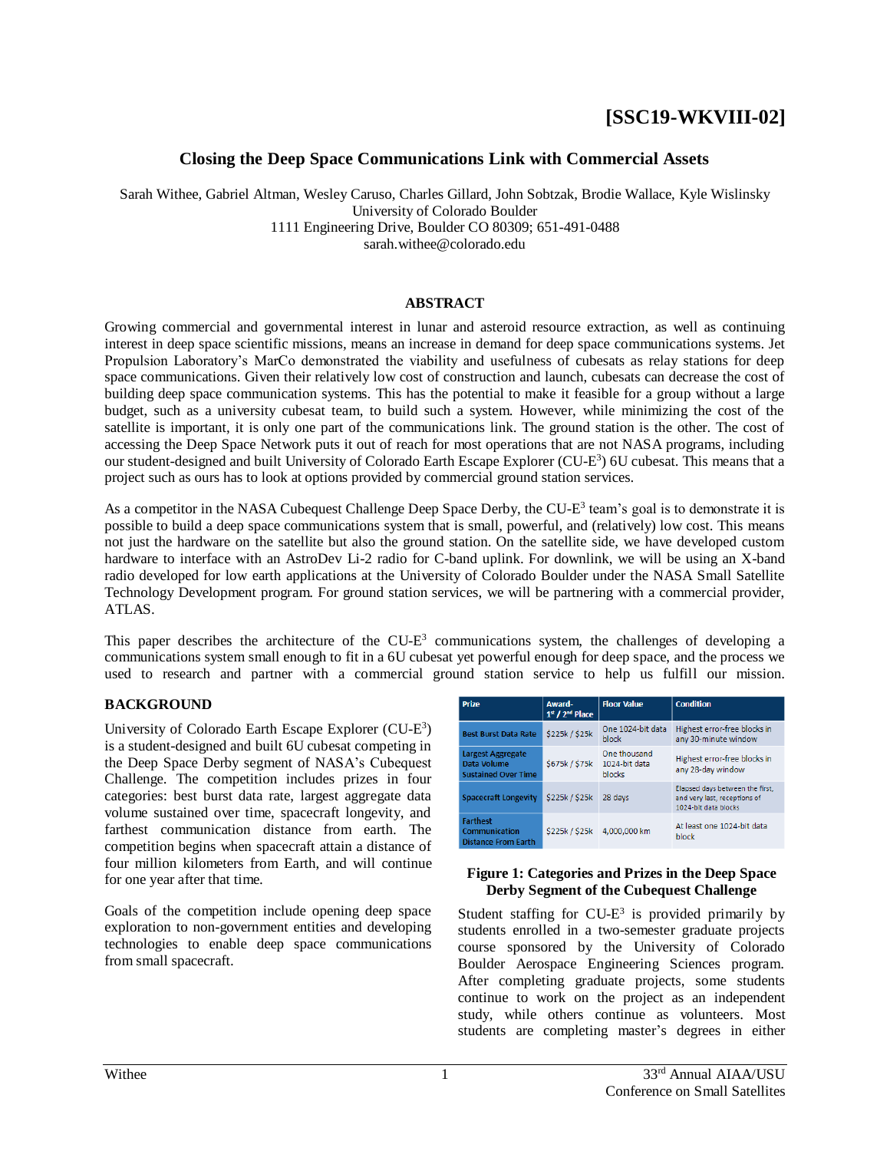# **[SSC19-WKVIII-02]**

# **Closing the Deep Space Communications Link with Commercial Assets**

Sarah Withee, Gabriel Altman, Wesley Caruso, Charles Gillard, John Sobtzak, Brodie Wallace, Kyle Wislinsky University of Colorado Boulder 1111 Engineering Drive, Boulder CO 80309; 651-491-0488 sarah.withee@colorado.edu

#### **ABSTRACT**

Growing commercial and governmental interest in lunar and asteroid resource extraction, as well as continuing interest in deep space scientific missions, means an increase in demand for deep space communications systems. Jet Propulsion Laboratory's MarCo demonstrated the viability and usefulness of cubesats as relay stations for deep space communications. Given their relatively low cost of construction and launch, cubesats can decrease the cost of building deep space communication systems. This has the potential to make it feasible for a group without a large budget, such as a university cubesat team, to build such a system. However, while minimizing the cost of the satellite is important, it is only one part of the communications link. The ground station is the other. The cost of accessing the Deep Space Network puts it out of reach for most operations that are not NASA programs, including our student-designed and built University of Colorado Earth Escape Explorer (CU-E<sup>3</sup>) 6U cubesat. This means that a project such as ours has to look at options provided by commercial ground station services.

As a competitor in the NASA Cubequest Challenge Deep Space Derby, the CU-E<sup>3</sup> team's goal is to demonstrate it is possible to build a deep space communications system that is small, powerful, and (relatively) low cost. This means not just the hardware on the satellite but also the ground station. On the satellite side, we have developed custom hardware to interface with an AstroDev Li-2 radio for C-band uplink. For downlink, we will be using an X-band radio developed for low earth applications at the University of Colorado Boulder under the NASA Small Satellite Technology Development program. For ground station services, we will be partnering with a commercial provider, ATLAS.

This paper describes the architecture of the  $CU-E<sup>3</sup>$  communications system, the challenges of developing a communications system small enough to fit in a 6U cubesat yet powerful enough for deep space, and the process we used to research and partner with a commercial ground station service to help us fulfill our mission.

# **BACKGROUND**

University of Colorado Earth Escape Explorer (CU-E<sup>3</sup>) is a student-designed and built 6U cubesat competing in the Deep Space Derby segment of NASA's Cubequest Challenge. The competition includes prizes in four categories: best burst data rate, largest aggregate data volume sustained over time, spacecraft longevity, and farthest communication distance from earth. The competition begins when spacecraft attain a distance of four million kilometers from Earth, and will continue for one year after that time.

Goals of the competition include opening deep space exploration to non-government entities and developing technologies to enable deep space communications from small spacecraft.

| <b>Prize</b>                                                          | Award-<br>1 <sup>st</sup> / 2 <sup>nd</sup> Place | <b>Floor Value</b>                             | <b>Condition</b>                                                                        |
|-----------------------------------------------------------------------|---------------------------------------------------|------------------------------------------------|-----------------------------------------------------------------------------------------|
| <b>Best Burst Data Rate</b>                                           | \$225k / \$25k                                    | One 1024-bit data<br>block                     | Highest error-free blocks in<br>any 30-minute window                                    |
| <b>Largest Aggregate</b><br>Data Volume<br><b>Sustained Over Time</b> | \$675k / \$75k                                    | One thousand<br>1024-bit data<br><b>blocks</b> | Highest error-free blocks in<br>any 28-day window                                       |
| <b>Spacecraft Longevity</b>                                           | \$225k / \$25k                                    | 28 days                                        | Elapsed days between the first.<br>and very last, receptions of<br>1024-bit data blocks |
| <b>Farthest</b><br>Communication<br><b>Distance From Earth</b>        | \$225k / \$25k                                    | 4,000,000 km                                   | At least one 1024-bit data<br>block                                                     |

#### **Figure 1: Categories and Prizes in the Deep Space Derby Segment of the Cubequest Challenge**

Student staffing for  $CU-E^3$  is provided primarily by students enrolled in a two-semester graduate projects course sponsored by the University of Colorado Boulder Aerospace Engineering Sciences program. After completing graduate projects, some students continue to work on the project as an independent study, while others continue as volunteers. Most students are completing master's degrees in either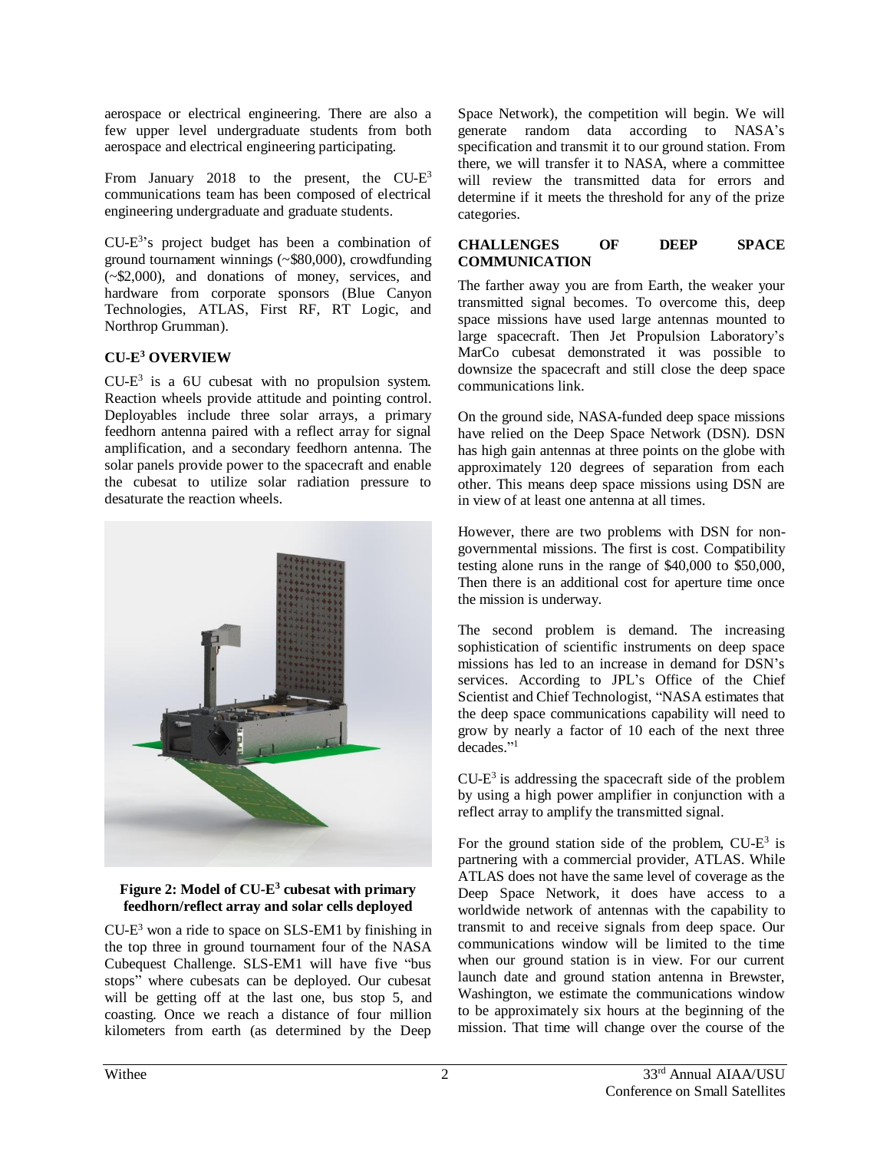aerospace or electrical engineering. There are also a few upper level undergraduate students from both aerospace and electrical engineering participating.

From January 2018 to the present, the  $CU-E^3$ communications team has been composed of electrical engineering undergraduate and graduate students.

CU-E 3 's project budget has been a combination of ground tournament winnings (~\$80,000), crowdfunding (~\$2,000), and donations of money, services, and hardware from corporate sponsors (Blue Canyon Technologies, ATLAS, First RF, RT Logic, and Northrop Grumman).

# **CU-E <sup>3</sup> OVERVIEW**

 $CU-E<sup>3</sup>$  is a 6U cubesat with no propulsion system. Reaction wheels provide attitude and pointing control. Deployables include three solar arrays, a primary feedhorn antenna paired with a reflect array for signal amplification, and a secondary feedhorn antenna. The solar panels provide power to the spacecraft and enable the cubesat to utilize solar radiation pressure to desaturate the reaction wheels.



#### **Figure 2: Model of CU-E 3 cubesat with primary feedhorn/reflect array and solar cells deployed**

CU-E <sup>3</sup> won a ride to space on SLS-EM1 by finishing in the top three in ground tournament four of the NASA Cubequest Challenge. SLS-EM1 will have five "bus stops" where cubesats can be deployed. Our cubesat will be getting off at the last one, bus stop 5, and coasting. Once we reach a distance of four million kilometers from earth (as determined by the Deep

Space Network), the competition will begin. We will generate random data according to NASA's specification and transmit it to our ground station. From there, we will transfer it to NASA, where a committee will review the transmitted data for errors and determine if it meets the threshold for any of the prize categories.

#### **CHALLENGES OF DEEP SPACE COMMUNICATION**

The farther away you are from Earth, the weaker your transmitted signal becomes. To overcome this, deep space missions have used large antennas mounted to large spacecraft. Then Jet Propulsion Laboratory's MarCo cubesat demonstrated it was possible to downsize the spacecraft and still close the deep space communications link.

On the ground side, NASA-funded deep space missions have relied on the Deep Space Network (DSN). DSN has high gain antennas at three points on the globe with approximately 120 degrees of separation from each other. This means deep space missions using DSN are in view of at least one antenna at all times.

However, there are two problems with DSN for nongovernmental missions. The first is cost. Compatibility testing alone runs in the range of \$40,000 to \$50,000, Then there is an additional cost for aperture time once the mission is underway.

The second problem is demand. The increasing sophistication of scientific instruments on deep space missions has led to an increase in demand for DSN's services. According to JPL's Office of the Chief Scientist and Chief Technologist, "NASA estimates that the deep space communications capability will need to grow by nearly a factor of 10 each of the next three decades." 1

 $CU-E<sup>3</sup>$  is addressing the spacecraft side of the problem by using a high power amplifier in conjunction with a reflect array to amplify the transmitted signal.

For the ground station side of the problem,  $CU-E^3$  is partnering with a commercial provider, ATLAS. While ATLAS does not have the same level of coverage as the Deep Space Network, it does have access to a worldwide network of antennas with the capability to transmit to and receive signals from deep space. Our communications window will be limited to the time when our ground station is in view. For our current launch date and ground station antenna in Brewster, Washington, we estimate the communications window to be approximately six hours at the beginning of the mission. That time will change over the course of the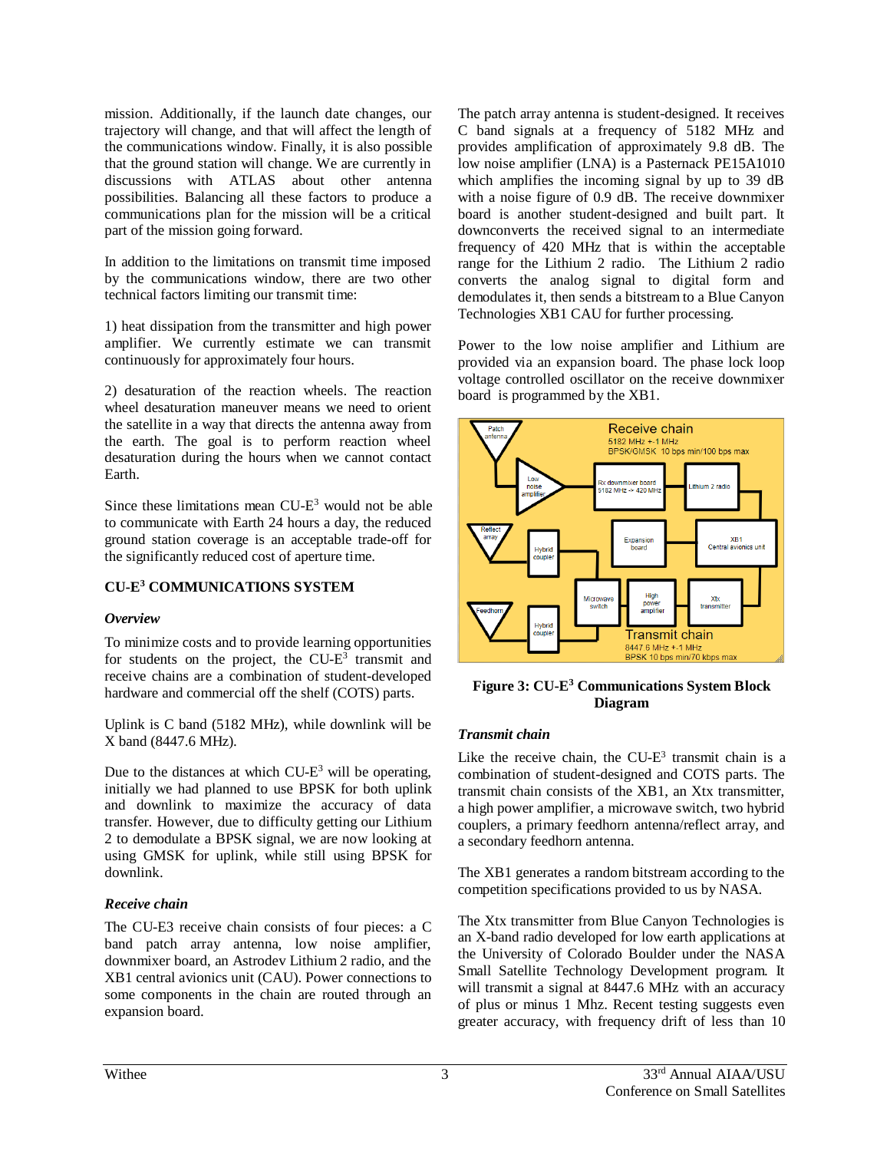mission. Additionally, if the launch date changes, our trajectory will change, and that will affect the length of the communications window. Finally, it is also possible that the ground station will change. We are currently in discussions with ATLAS about other antenna possibilities. Balancing all these factors to produce a communications plan for the mission will be a critical part of the mission going forward.

In addition to the limitations on transmit time imposed by the communications window, there are two other technical factors limiting our transmit time:

1) heat dissipation from the transmitter and high power amplifier. We currently estimate we can transmit continuously for approximately four hours.

2) desaturation of the reaction wheels. The reaction wheel desaturation maneuver means we need to orient the satellite in a way that directs the antenna away from the earth. The goal is to perform reaction wheel desaturation during the hours when we cannot contact Earth.

Since these limitations mean CU-E <sup>3</sup> would not be able to communicate with Earth 24 hours a day, the reduced ground station coverage is an acceptable trade-off for the significantly reduced cost of aperture time.

# **CU-E <sup>3</sup> COMMUNICATIONS SYSTEM**

# *Overview*

To minimize costs and to provide learning opportunities for students on the project, the CU- $E<sup>3</sup>$  transmit and receive chains are a combination of student-developed hardware and commercial off the shelf (COTS) parts.

Uplink is C band (5182 MHz), while downlink will be X band (8447.6 MHz).

Due to the distances at which  $CU-E^3$  will be operating, initially we had planned to use BPSK for both uplink and downlink to maximize the accuracy of data transfer. However, due to difficulty getting our Lithium 2 to demodulate a BPSK signal, we are now looking at using GMSK for uplink, while still using BPSK for downlink.

# *Receive chain*

The CU-E3 receive chain consists of four pieces: a C band patch array antenna, low noise amplifier, downmixer board, an Astrodev Lithium 2 radio, and the XB1 central avionics unit (CAU). Power connections to some components in the chain are routed through an expansion board.

The patch array antenna is student-designed. It receives C band signals at a frequency of 5182 MHz and provides amplification of approximately 9.8 dB. The low noise amplifier (LNA) is a Pasternack PE15A1010 which amplifies the incoming signal by up to 39 dB with a noise figure of 0.9 dB. The receive downmixer board is another student-designed and built part. It downconverts the received signal to an intermediate frequency of 420 MHz that is within the acceptable range for the Lithium 2 radio. The Lithium 2 radio converts the analog signal to digital form and demodulates it, then sends a bitstream to a Blue Canyon Technologies XB1 CAU for further processing.

Power to the low noise amplifier and Lithium are provided via an expansion board. The phase lock loop voltage controlled oscillator on the receive downmixer board is programmed by the XB1.



**Figure 3: CU-E <sup>3</sup> Communications System Block Diagram**

# *Transmit chain*

Like the receive chain, the  $CU-E^3$  transmit chain is a combination of student-designed and COTS parts. The transmit chain consists of the XB1, an Xtx transmitter, a high power amplifier, a microwave switch, two hybrid couplers, a primary feedhorn antenna/reflect array, and a secondary feedhorn antenna.

The XB1 generates a random bitstream according to the competition specifications provided to us by NASA.

The Xtx transmitter from Blue Canyon Technologies is an X-band radio developed for low earth applications at the University of Colorado Boulder under the NASA Small Satellite Technology Development program. It will transmit a signal at 8447.6 MHz with an accuracy of plus or minus 1 Mhz. Recent testing suggests even greater accuracy, with frequency drift of less than 10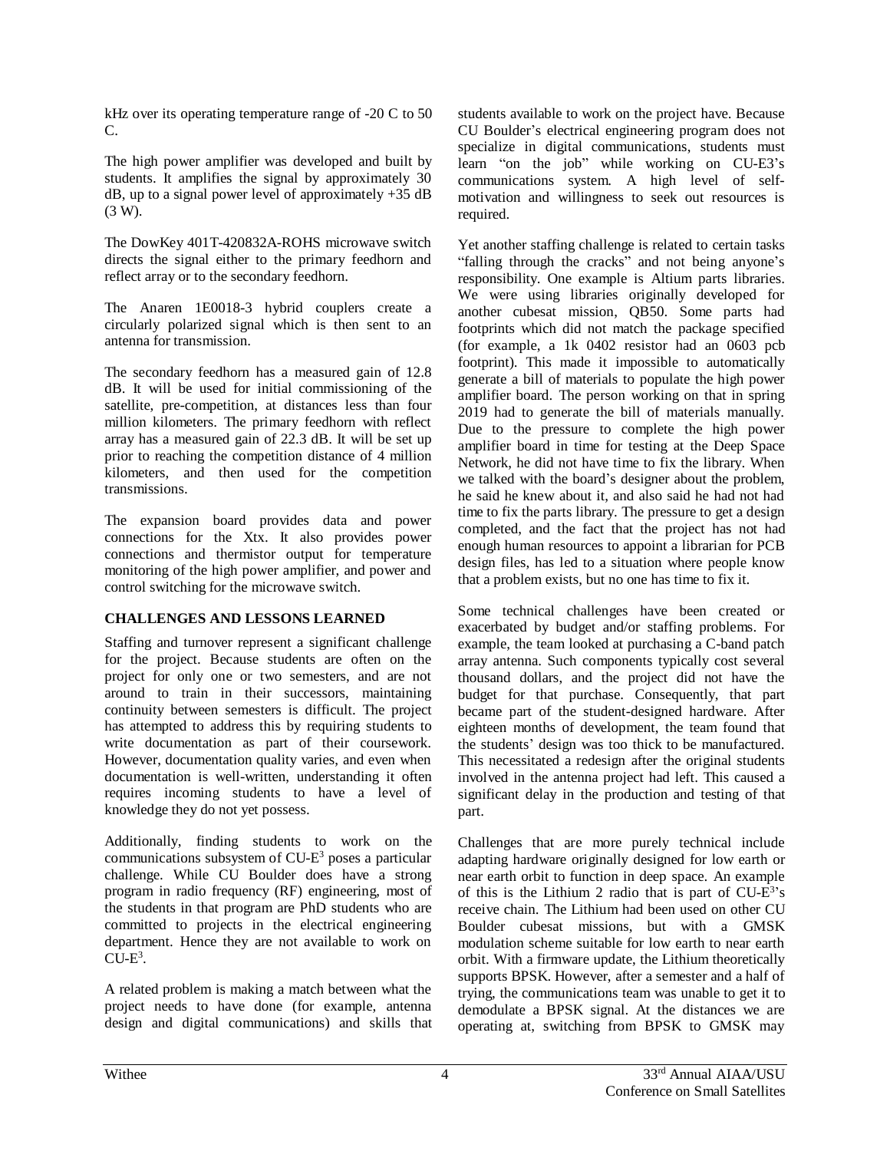kHz over its operating temperature range of -20 C to 50 C.

The high power amplifier was developed and built by students. It amplifies the signal by approximately 30  $dB$ , up to a signal power level of approximately  $+35$  dB (3 W).

The DowKey 401T-420832A-ROHS microwave switch directs the signal either to the primary feedhorn and reflect array or to the secondary feedhorn.

The Anaren 1E0018-3 hybrid couplers create a circularly polarized signal which is then sent to an antenna for transmission.

The secondary feedhorn has a measured gain of 12.8 dB. It will be used for initial commissioning of the satellite, pre-competition, at distances less than four million kilometers. The primary feedhorn with reflect array has a measured gain of 22.3 dB. It will be set up prior to reaching the competition distance of 4 million kilometers, and then used for the competition transmissions.

The expansion board provides data and power connections for the Xtx. It also provides power connections and thermistor output for temperature monitoring of the high power amplifier, and power and control switching for the microwave switch.

# **CHALLENGES AND LESSONS LEARNED**

Staffing and turnover represent a significant challenge for the project. Because students are often on the project for only one or two semesters, and are not around to train in their successors, maintaining continuity between semesters is difficult. The project has attempted to address this by requiring students to write documentation as part of their coursework. However, documentation quality varies, and even when documentation is well-written, understanding it often requires incoming students to have a level of knowledge they do not yet possess.

Additionally, finding students to work on the communications subsystem of CU-E <sup>3</sup> poses a particular challenge. While CU Boulder does have a strong program in radio frequency (RF) engineering, most of the students in that program are PhD students who are committed to projects in the electrical engineering department. Hence they are not available to work on  $CU-E^3$ .

A related problem is making a match between what the project needs to have done (for example, antenna design and digital communications) and skills that students available to work on the project have. Because CU Boulder's electrical engineering program does not specialize in digital communications, students must learn "on the job" while working on CU-E3's communications system. A high level of selfmotivation and willingness to seek out resources is required.

Yet another staffing challenge is related to certain tasks "falling through the cracks" and not being anyone's responsibility. One example is Altium parts libraries. We were using libraries originally developed for another cubesat mission, QB50. Some parts had footprints which did not match the package specified (for example, a 1k 0402 resistor had an 0603 pcb footprint). This made it impossible to automatically generate a bill of materials to populate the high power amplifier board. The person working on that in spring 2019 had to generate the bill of materials manually. Due to the pressure to complete the high power amplifier board in time for testing at the Deep Space Network, he did not have time to fix the library. When we talked with the board's designer about the problem, he said he knew about it, and also said he had not had time to fix the parts library. The pressure to get a design completed, and the fact that the project has not had enough human resources to appoint a librarian for PCB design files, has led to a situation where people know that a problem exists, but no one has time to fix it.

Some technical challenges have been created or exacerbated by budget and/or staffing problems. For example, the team looked at purchasing a C-band patch array antenna. Such components typically cost several thousand dollars, and the project did not have the budget for that purchase. Consequently, that part became part of the student-designed hardware. After eighteen months of development, the team found that the students' design was too thick to be manufactured. This necessitated a redesign after the original students involved in the antenna project had left. This caused a significant delay in the production and testing of that part.

Challenges that are more purely technical include adapting hardware originally designed for low earth or near earth orbit to function in deep space. An example of this is the Lithium 2 radio that is part of CU-E<sup>3</sup>'s receive chain. The Lithium had been used on other CU Boulder cubesat missions, but with a GMSK modulation scheme suitable for low earth to near earth orbit. With a firmware update, the Lithium theoretically supports BPSK. However, after a semester and a half of trying, the communications team was unable to get it to demodulate a BPSK signal. At the distances we are operating at, switching from BPSK to GMSK may